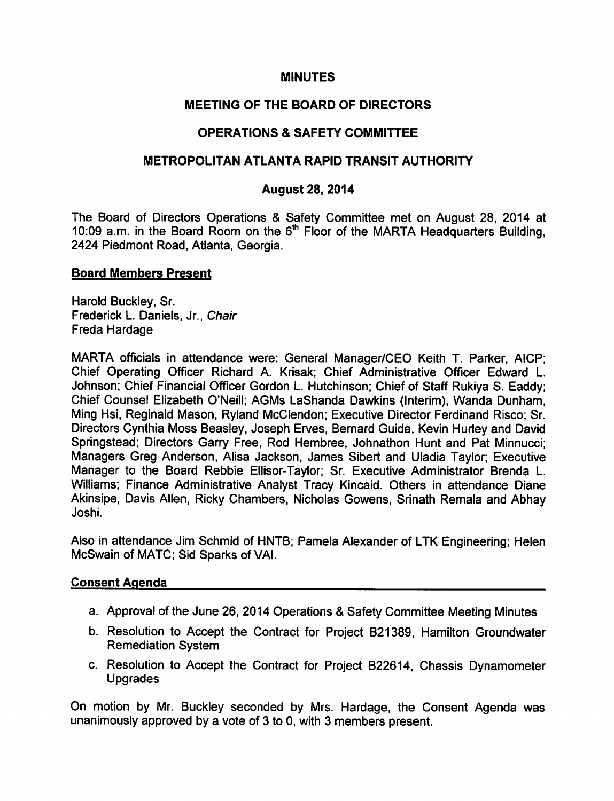# **MINUTES**

# MEETING OF THE BOARD OF DIRECTORS

# OPERATIONS & SAFETY COMMITTEE

## METROPOLITAN ATLANTA RAPID TRANSIT AUTHORITY

## August 28, 2014

The Board of Directors Operations & Safety Committee met on August 28, 2014 at 10:09 a.m. in the Board Room on the  $6<sup>th</sup>$  Floor of the MARTA Headquarters Building, 2424 Piedmont Road, Atlanta, Georgia.

### Board Members Present

Harold Buckley, Sr. Frederick L. Daniels, Jr., Chair Freda Hardage

MARTA officials in attendance were: General Manager/CEO Keith T. Parker, AICP; Chief Operating Officer Richard A. Krisak; Chief Administrative Officer Edward L. Johnson; Chief Financial Officer Gordon L. Hutchinson; Chief of Staff Rukiya S. Eaddy; Chief Counsel Elizabeth O'Neill; AGMs LaShanda Dawkins (Interim), Wanda Dunham, Ming Hsi, Reginald Mason, Ryland McClendon; Executive Director Ferdinand Risco; Sr. Directors Cynthia Moss Beasley, Joseph Erves, Bernard Guida, Kevin Hurley and David Springstead; Directors Garry Free, Rod Hembree, Johnathon Hunt and Pat Minnucci; Managers Greg Anderson, Alisa Jackson, James Sibert and Uladia Taylor; Executive Manager to the Board Rebbie Ellisor-Taylor; Sr. Executive Administrator Brenda L. Williams; Finance Administrative Analyst Tracy Kincaid. Others in attendance Diane Akinsipe, Davis Allen, Ricky Chambers, Nicholas Gowens, Srinath Remala and Abhay Joshi.

Also in attendance Jim Schmid of HNTB; Pamela Alexander of LTK Engineering; Helen McSwain of MATC; Sid Sparks of VAI.

#### Consent Agenda

- a. Approval of the June 26, 2014 Operations & Safety Committee Meeting Minutes
- b. Resolution to Accept the Contract for Project B21389, Hamilton Groundwater Remediation System
- c. Resolution to Accept the Contract for Project B22614, Chassis Dynamometer Upgrades

On motion by Mr. Buckley seconded by Mrs. Hardage, the Consent Agenda was unanimously approved by a vote of 3 to 0, with 3 members present.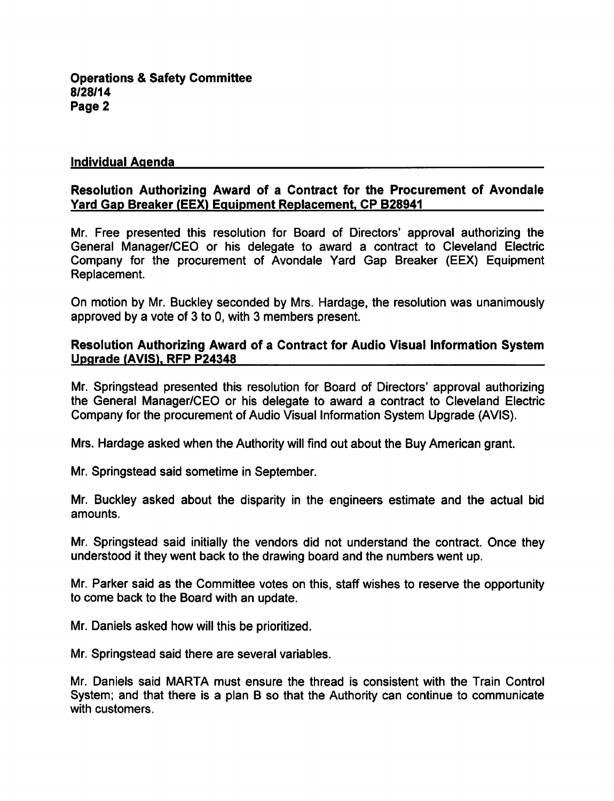### Individual Agenda

## Resolution Authorizing Award of a Contract for the Procurement of Avondale Yard Gap Breaker (EEX) Equipment Replacement, CP B28941

Mr. Free presented this resolution for Board of Directors' approval authorizing the General Manager/CEO or his delegate to award a contract to Cleveland Electric Company for the procurement of Avondale Yard Gap Breaker (EEX) Equipment Replacement.

On motion by Mr. Buckley seconded by Mrs. Hardage, the resolution was unanimously approved by a vote of  $3$  to  $0$ , with  $3$  members present.

### Resolution Authorizing Award of a Contract for Audio Visual Information System Upgrade (AVIS). RFP P24348

Mr. Springstead presented this resolution for Board of Directors' approval authorizing the General Manager/CEO or his delegate to award a contract to Cleveland Electric Company for the procurement of Audio Visual Information System Upgrade (AVIS).

Mrs. Hardage asked when the Authority will find out about the Buy American grant.

Mr. Springstead said sometime in September.

Mr. Buckley asked about the disparity in the engineers estimate and the actual bid amounts.

Mr. Springstead said initially the vendors did not understand the contract. Once they understood it they went back to the drawing board and the numbers went up.

Mr. Parker said as the Committee votes on this, staff wishes to reserve the opportunity to come back to the Board with an update.

Mr. Daniels asked how will this be prioritized.

Mr. Springstead said there are several variables.

Mr. Daniels said MARTA must ensure the thread is consistent with the Train Control System; and that there is a plan B so that the Authority can continue to communicate with customers.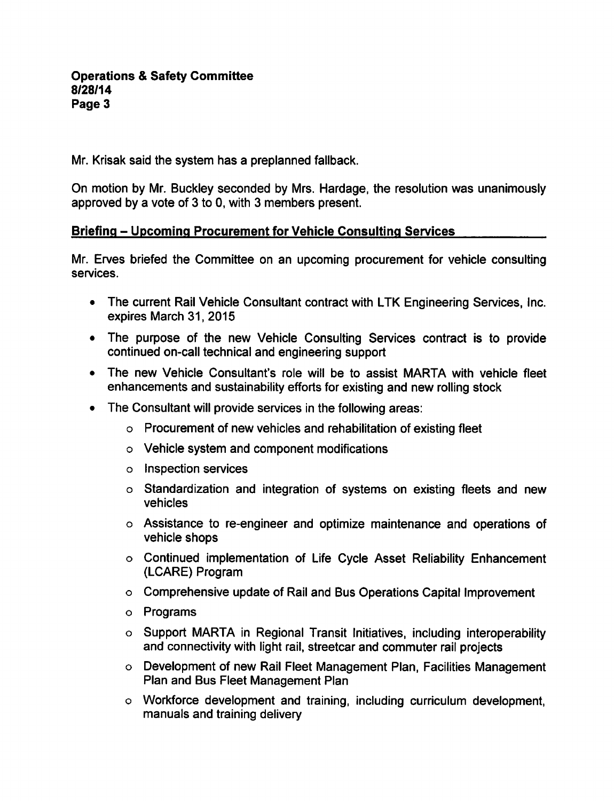### **Operations & Safety Committee** 8/28/14 Page 3

Mr. Krisak said the system has a preplanned fallback.

On motion by Mr. Buckley seconded by Mrs. Hardage, the resolution was unanimously approved by a vote of  $3$  to 0, with  $3$  members present.

# Briefing – Upcoming Procurement for Vehicle Consulting Services

Mr. Erves briefed the Committee on an upcoming procurement for vehicle consulting services.

- The current Rail Vehicle Consultant contract with LTK Engineering Services, Inc. expires March 31, 2015
- The purpose of the new Vehicle Consulting Services contract is to provide continued on-call technical and engineering support
- The new Vehicle Consultant's role will be to assist MARTA with vehicle fleet enhancements and sustainability efforts for existing and new rolling stock
- The Consultant will provide services in the following areas:
	- Procurement of new vehicles and rehabilitation of existing fleet
	- Vehicle system and component modifications
	- o Inspection services
	- Standardization and integration of systems on existing fleets and new vehicles
	- Assistance to re-engineer and optimize maintenance and operations of vehicle shops
	- Continued implementation of Life Cycle Asset Reliability Enhancement (LCARE) Program
	- Comprehensive update of Rail and Bus Operations Capital Improvement
	- Programs
	- o Support MARTA in Regional Transit Initiatives, including interoperability and connectivity with light rail, streetcar and commuter rail projects
	- Development of new Rail Fleet Management Plan, Facilities Management Plan and Bus Fleet Management Plan
	- Workforce development and training, including curriculum development, manuals and training delivery